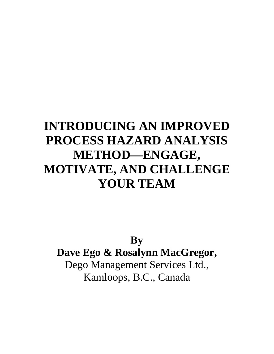# **INTRODUCING AN IMPROVED PROCESS HAZARD ANALYSIS METHOD—ENGAGE, MOTIVATE, AND CHALLENGE YOUR TEAM**

**By Dave Ego & Rosalynn MacGregor,** Dego Management Services Ltd., Kamloops, B.C., Canada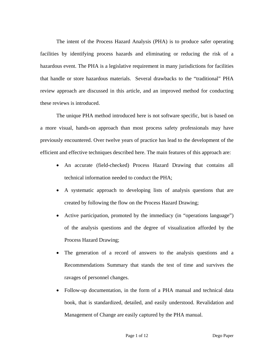The intent of the Process Hazard Analysis (PHA) is to produce safer operating facilities by identifying process hazards and eliminating or reducing the risk of a hazardous event. The PHA is a legislative requirement in many jurisdictions for facilities that handle or store hazardous materials. Several drawbacks to the "traditional" PHA review approach are discussed in this article, and an improved method for conducting these reviews is introduced.

The unique PHA method introduced here is not software specific, but is based on a more visual, hands-on approach than most process safety professionals may have previously encountered. Over twelve years of practice has lead to the development of the efficient and effective techniques described here. The main features of this approach are:

- An accurate (field-checked) Process Hazard Drawing that contains all technical information needed to conduct the PHA;
- A systematic approach to developing lists of analysis questions that are created by following the flow on the Process Hazard Drawing;
- Active participation, promoted by the immediacy (in "operations language") of the analysis questions and the degree of visualization afforded by the Process Hazard Drawing;
- The generation of a record of answers to the analysis questions and a Recommendations Summary that stands the test of time and survives the ravages of personnel changes.
- Follow-up documentation, in the form of a PHA manual and technical data book, that is standardized, detailed, and easily understood. Revalidation and Management of Change are easily captured by the PHA manual.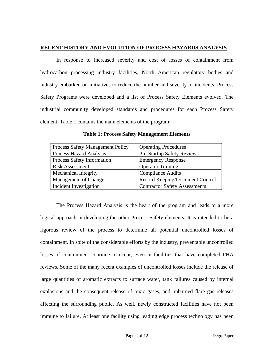# **RECENT HISTORY AND EVOLUTION OF PROCESS HAZARDS ANALYSIS**

In response to increased severity and cost of losses of containment from hydrocarbon processing industry facilities, North American regulatory bodies and industry embarked on initiatives to reduce the number and severity of incidents. Process Safety Programs were developed and a list of Process Safety Elements evolved. The industrial community developed standards and procedures for each Process Safety element. Table 1 contains the main elements of the program:

| Process Safety Management Policy  | <b>Operating Procedures</b>          |
|-----------------------------------|--------------------------------------|
| Process Hazard Analysis           | <b>Pre-Startup Safety Reviews</b>    |
| <b>Process Safety Information</b> | <b>Emergency Response</b>            |
| <b>Risk Assessment</b>            | <b>Operator Training</b>             |
| <b>Mechanical Integrity</b>       | <b>Compliance Audits</b>             |
| Management of Change              | Record Keeping/Document Control      |
| Incident Investigation            | <b>Contractor Safety Assessments</b> |

**Table 1: Process Safety Management Elements**

The Process Hazard Analysis is the heart of the program and leads to a more logical approach in developing the other Process Safety elements. It is intended to be a rigorous review of the process to determine all potential uncontrolled losses of containment. In spite of the considerable efforts by the industry, preventable uncontrolled losses of containment continue to occur, even in facilities that have completed PHA reviews. Some of the many recent examples of uncontrolled losses include the release of large quantities of aromatic extracts to surface water, tank failures caused by internal explosions and the consequent release of toxic gases, and unburned flare gas releases affecting the surrounding public. As well, newly constructed facilities have not been immune to failure. At least one facility using leading edge process technology has been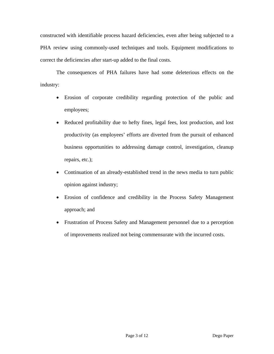constructed with identifiable process hazard deficiencies, even after being subjected to a PHA review using commonly-used techniques and tools. Equipment modifications to correct the deficiencies after start-up added to the final costs.

The consequences of PHA failures have had some deleterious effects on the industry:

- Erosion of corporate credibility regarding protection of the public and employees;
- Reduced profitability due to hefty fines, legal fees, lost production, and lost productivity (as employees' efforts are diverted from the pursuit of enhanced business opportunities to addressing damage control, investigation, cleanup repairs, etc.);
- Continuation of an already-established trend in the news media to turn public opinion against industry;
- Erosion of confidence and credibility in the Process Safety Management approach; and
- Frustration of Process Safety and Management personnel due to a perception of improvements realized not being commensurate with the incurred costs.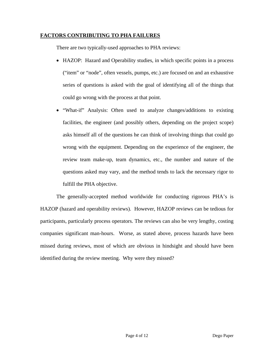# **FACTORS CONTRIBUTING TO PHA FAILURES**

There are two typically-used approaches to PHA reviews:

- HAZOP: Hazard and Operability studies, in which specific points in a process ("item" or "node", often vessels, pumps, etc.) are focused on and an exhaustive series of questions is asked with the goal of identifying all of the things that could go wrong with the process at that point.
- "What-if" Analysis: Often used to analyze changes/additions to existing facilities, the engineer (and possibly others, depending on the project scope) asks himself all of the questions he can think of involving things that could go wrong with the equipment. Depending on the experience of the engineer, the review team make-up, team dynamics, etc., the number and nature of the questions asked may vary, and the method tends to lack the necessary rigor to fulfill the PHA objective.

The generally-accepted method worldwide for conducting rigorous PHA's is HAZOP (hazard and operability reviews). However, HAZOP reviews can be tedious for participants, particularly process operators. The reviews can also be very lengthy, costing companies significant man-hours. Worse, as stated above, process hazards have been missed during reviews, most of which are obvious in hindsight and should have been identified during the review meeting. Why were they missed?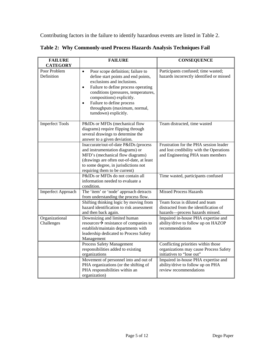Contributing factors in the failure to identify hazardous events are listed in Table 2.

| <b>FAILURE</b><br><b>CATEGORY</b> | <b>FAILURE</b>                                                                                                                                                                                                                                                                                                                                   | <b>CONSEQUENCE</b>                                                                                                     |
|-----------------------------------|--------------------------------------------------------------------------------------------------------------------------------------------------------------------------------------------------------------------------------------------------------------------------------------------------------------------------------------------------|------------------------------------------------------------------------------------------------------------------------|
| Poor Problem<br>Definition        | Poor scope definition; failure to<br>$\bullet$<br>define start points and end points,<br>exclusions and inclusions.<br>Failure to define process operating<br>$\bullet$<br>conditions (pressures, temperatures,<br>compositions) explicitly.<br>Failure to define process<br>$\bullet$<br>throughputs (maximum, normal,<br>turndown) explicitly. | Participants confused; time wasted;<br>hazards incorrectly identified or missed                                        |
| <b>Imperfect Tools</b>            | P&IDs or MFDs (mechanical flow<br>diagrams) require flipping through<br>several drawings to determine the<br>answer to a given deviation.                                                                                                                                                                                                        | Team distracted, time wasted                                                                                           |
|                                   | Inaccurate/out-of-date P&IDs (process<br>and instrumentation diagrams) or<br>MFD's (mechanical flow diagrams)<br>(drawings are often out-of-date, at least<br>to some degree, in jurisdictions not<br>requiring them to be current)                                                                                                              | Frustration for the PHA session leader<br>and lost credibility with the Operations<br>and Engineering PHA team members |
|                                   | P&IDs or MFDs do not contain all<br>information needed to evaluate a<br>condition.                                                                                                                                                                                                                                                               | Time wasted, participants confused                                                                                     |
| Imperfect Approach                | The 'item' or 'node' approach detracts<br>from understanding the process flow.                                                                                                                                                                                                                                                                   | <b>Missed Process Hazards</b>                                                                                          |
|                                   | Shifting thinking logic by moving from<br>hazard identification to risk assessment<br>and then back again.                                                                                                                                                                                                                                       | Team focus is diluted and team<br>distracted from the identification of<br>hazards-process hazards missed.             |
| Organizational<br>Challenges      | Downsizing and limited human<br>resources $\rightarrow$ resistance of companies to<br>establish/maintain departments with<br>leadership dedicated to Process Safety<br>Management                                                                                                                                                                | Impaired in-house PHA expertise and<br>ability/drive to follow up on HAZOP<br>recommendations                          |
|                                   | Process Safety Management<br>responsibilities added to existing<br>organizations                                                                                                                                                                                                                                                                 | Conflicting priorities within those<br>organizations may cause Process Safety<br>initiatives to "lose out"             |
|                                   | Movement of personnel into and out of<br>PHA organizations (or the shifting of<br>PHA responsibilities within an<br>organization)                                                                                                                                                                                                                | Impaired in-house PHA expertise and<br>ability/drive to follow up on PHA<br>review recommendations                     |

**Table 2: Why Commonly-used Process Hazards Analysis Techniques Fail**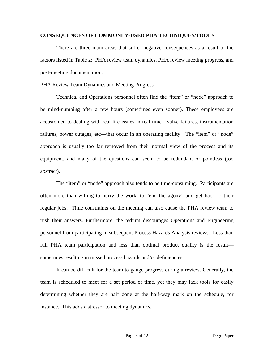## **CONSEQUENCES OF COMMONLY-USED PHA TECHNIQUES/TOOLS**

There are three main areas that suffer negative consequences as a result of the factors listed in Table 2: PHA review team dynamics, PHA review meeting progress, and post-meeting documentation.

# PHA Review Team Dynamics and Meeting Progress

Technical and Operations personnel often find the "item" or "node" approach to be mind-numbing after a few hours (sometimes even sooner). These employees are accustomed to dealing with real life issues in real time—valve failures, instrumentation failures, power outages, etc—that occur in an operating facility. The "item" or "node" approach is usually too far removed from their normal view of the process and its equipment, and many of the questions can seem to be redundant or pointless (too abstract).

The "item" or "node" approach also tends to be time-consuming. Participants are often more than willing to hurry the work, to "end the agony" and get back to their regular jobs. Time constraints on the meeting can also cause the PHA review team to rush their answers. Furthermore, the tedium discourages Operations and Engineering personnel from participating in subsequent Process Hazards Analysis reviews. Less than full PHA team participation and less than optimal product quality is the result sometimes resulting in missed process hazards and/or deficiencies.

It can be difficult for the team to gauge progress during a review. Generally, the team is scheduled to meet for a set period of time, yet they may lack tools for easily determining whether they are half done at the half-way mark on the schedule, for instance. This adds a stressor to meeting dynamics.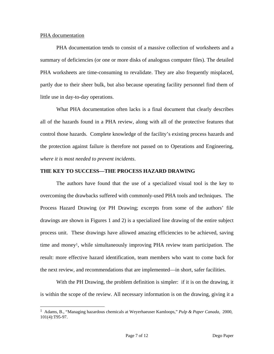## PHA documentation

 $\overline{a}$ 

PHA documentation tends to consist of a massive collection of worksheets and a summary of deficiencies (or one or more disks of analogous computer files). The detailed PHA worksheets are time-consuming to revalidate. They are also frequently misplaced, partly due to their sheer bulk, but also because operating facility personnel find them of little use in day-to-day operations.

What PHA documentation often lacks is a final document that clearly describes all of the hazards found in a PHA review, along with all of the protective features that control those hazards. Complete knowledge of the facility's existing process hazards and the protection against failure is therefore not passed on to Operations and Engineering, *where it is most needed to prevent incidents*.

## **THE KEY TO SUCCESS—THE PROCESS HAZARD DRAWING**

The authors have found that the use of a specialized visual tool is the key to overcoming the drawbacks suffered with commonly-used PHA tools and techniques. The Process Hazard Drawing (or PH Drawing; excerpts from some of the authors' file drawings are shown in Figures 1 and 2) is a specialized line drawing of the entire subject process unit. These drawings have allowed amazing efficiencies to be achieved, saving time and mone[y1,](#page-7-0) while simultaneously improving PHA review team participation. The result: more effective hazard identification, team members who want to come back for the next review, and recommendations that are implemented—in short, safer facilities.

With the PH Drawing, the problem definition is simpler: if it is on the drawing, it is within the scope of the review. All necessary information is on the drawing, giving it a

<span id="page-7-0"></span><sup>1</sup> Adams, B., "Managing hazardous chemicals at Weyerhaeuser Kamloops," *Pulp & Paper Canada,* 2000, 101(4):T95-97.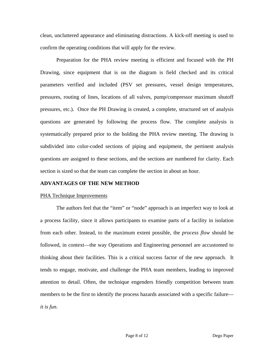clean, uncluttered appearance and eliminating distractions. A kick-off meeting is used to confirm the operating conditions that will apply for the review.

Preparation for the PHA review meeting is efficient and focused with the PH Drawing, since equipment that is on the diagram is field checked and its critical parameters verified and included (PSV set pressures, vessel design temperatures, pressures, routing of lines, locations of all valves, pump/compressor maximum shutoff pressures, etc.). Once the PH Drawing is created, a complete, structured set of analysis questions are generated by following the process flow. The complete analysis is systematically prepared prior to the holding the PHA review meeting. The drawing is subdivided into color-coded sections of piping and equipment, the pertinent analysis questions are assigned to these sections, and the sections are numbered for clarity. Each section is sized so that the team can complete the section in about an hour.

#### **ADVANTAGES OF THE NEW METHOD**

#### PHA Technique Improvements

The authors feel that the "item" or "node" approach is an imperfect way to look at a process facility, since it allows participants to examine parts of a facility in isolation from each other. Instead, to the maximum extent possible, the *process flow* should be followed, in context—the way Operations and Engineering personnel are accustomed to thinking about their facilities. This is a critical success factor of the new approach. It tends to engage, motivate, and challenge the PHA team members, leading to improved attention to detail. Often, the technique engenders friendly competition between team members to be the first to identify the process hazards associated with a specific failure *it is fun*.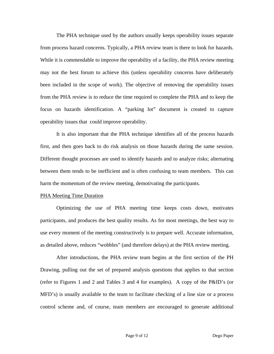The PHA technique used by the authors usually keeps operability issues separate from process hazard concerns. Typically, a PHA review team is there to look for hazards. While it is commendable to improve the operability of a facility, the PHA review meeting may not the best forum to achieve this (unless operability concerns have deliberately been included in the scope of work). The objective of removing the operability issues from the PHA review is to reduce the time required to complete the PHA and to keep the focus on hazards identification. A "parking lot" document is created to capture operability issues that could improve operability.

It is also important that the PHA technique identifies all of the process hazards first, and then goes back to do risk analysis on those hazards during the same session. Different thought processes are used to identify hazards and to analyze risks; alternating between them tends to be inefficient and is often confusing to team members. This can harm the momentum of the review meeting, demotivating the participants.

#### PHA Meeting Time Duration

Optimizing the use of PHA meeting time keeps costs down, motivates participants, and produces the best quality results. As for most meetings, the best way to use every moment of the meeting constructively is to prepare well. Accurate information, as detailed above, reduces "wobbles" (and therefore delays) at the PHA review meeting.

After introductions, the PHA review team begins at the first section of the PH Drawing, pulling out the set of prepared analysis questions that applies to that section (refer to Figures 1 and 2 and Tables 3 and 4 for examples). A copy of the P&ID's (or MFD's) is usually available to the team to facilitate checking of a line size or a process control scheme and, of course, team members are encouraged to generate additional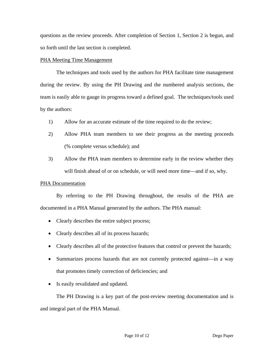questions as the review proceeds. After completion of Section 1, Section 2 is begun, and so forth until the last section is completed.

# PHA Meeting Time Management

The techniques and tools used by the authors for PHA facilitate time management during the review. By using the PH Drawing and the numbered analysis sections, the team is easily able to gauge its progress toward a defined goal. The techniques/tools used by the authors:

- 1) Allow for an accurate estimate of the time required to do the review;
- 2) Allow PHA team members to see their progress as the meeting proceeds (% complete versus schedule); and
- 3) Allow the PHA team members to determine early in the review whether they will finish ahead of or on schedule, or will need more time—and if so, why.

# PHA Documentation

By referring to the PH Drawing throughout, the results of the PHA are documented in a PHA Manual generated by the authors. The PHA manual:

- Clearly describes the entire subject process;
- Clearly describes all of its process hazards;
- Clearly describes all of the protective features that control or prevent the hazards;
- Summarizes process hazards that are not currently protected against—in a way that promotes timely correction of deficiencies; and
- Is easily revalidated and updated.

The PH Drawing is a key part of the post-review meeting documentation and is and integral part of the PHA Manual.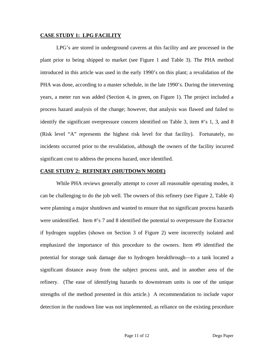# **CASE STUDY 1: LPG FACILITY**

LPG's are stored in underground caverns at this facility and are processed in the plant prior to being shipped to market (see Figure 1 and Table 3). The PHA method introduced in this article was used in the early 1990's on this plant; a revalidation of the PHA was done, according to a master schedule, in the late 1990's. During the intervening years, a meter run was added (Section 4, in green, on Figure 1). The project included a process hazard analysis of the change; however, that analysis was flawed and failed to identify the significant overpressure concern identified on Table 3, item #'s 1, 3, and 8 (Risk level "A" represents the highest risk level for that facility). Fortunately, no incidents occurred prior to the revalidation, although the owners of the facility incurred significant cost to address the process hazard, once identified.

## **CASE STUDY 2: REFINERY (SHUTDOWN MODE)**

While PHA reviews generally attempt to cover all reasonable operating modes, it can be challenging to do the job well. The owners of this refinery (see Figure 2, Table 4) were planning a major shutdown and wanted to ensure that no significant process hazards were unidentified. Item #'s 7 and 8 identified the potential to overpressure the Extractor if hydrogen supplies (shown on Section 3 of Figure 2) were incorrectly isolated and emphasized the importance of this procedure to the owners. Item #9 identified the potential for storage tank damage due to hydrogen breakthrough—to a tank located a significant distance away from the subject process unit, and in another area of the refinery. (The ease of identifying hazards to downstream units is one of the unique strengths of the method presented in this article.) A recommendation to include vapor detection in the rundown line was not implemented, as reliance on the existing procedure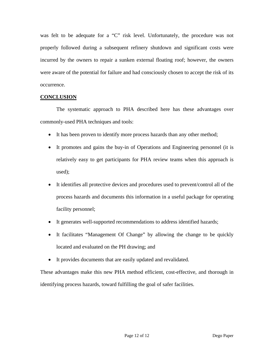was felt to be adequate for a "C" risk level. Unfortunately, the procedure was not properly followed during a subsequent refinery shutdown and significant costs were incurred by the owners to repair a sunken external floating roof; however, the owners were aware of the potential for failure and had consciously chosen to accept the risk of its occurrence.

# **CONCLUSION**

The systematic approach to PHA described here has these advantages over commonly-used PHA techniques and tools:

- It has been proven to identify more process hazards than any other method;
- It promotes and gains the buy-in of Operations and Engineering personnel (it is relatively easy to get participants for PHA review teams when this approach is used);
- It identifies all protective devices and procedures used to prevent/control all of the process hazards and documents this information in a useful package for operating facility personnel;
- It generates well-supported recommendations to address identified hazards;
- It facilitates "Management Of Change" by allowing the change to be quickly located and evaluated on the PH drawing; and
- It provides documents that are easily updated and revalidated.

These advantages make this new PHA method efficient, cost-effective, and thorough in identifying process hazards, toward fulfilling the goal of safer facilities.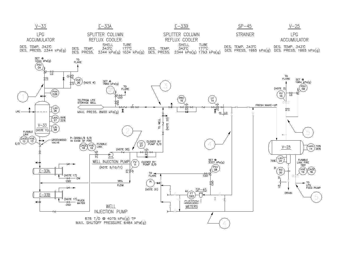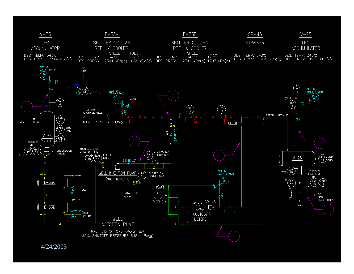

4/24/2003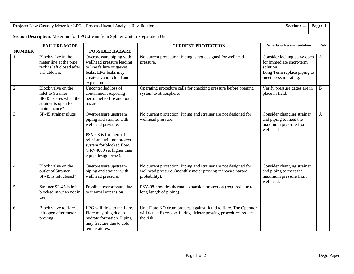| Project: New Custody Meter for LPG - Process Hazard Analysis Revalidation            |                                                                                                          |                                                                                                                                                                                                                 |                                                                                                                                                  |                                                                                                                              | Section: 4                                                                    | Page: 1      |  |
|--------------------------------------------------------------------------------------|----------------------------------------------------------------------------------------------------------|-----------------------------------------------------------------------------------------------------------------------------------------------------------------------------------------------------------------|--------------------------------------------------------------------------------------------------------------------------------------------------|------------------------------------------------------------------------------------------------------------------------------|-------------------------------------------------------------------------------|--------------|--|
| Section Description: Meter run for LPG stream from Splitter Unit to Preparation Unit |                                                                                                          |                                                                                                                                                                                                                 |                                                                                                                                                  |                                                                                                                              |                                                                               |              |  |
| <b>NUMBER</b>                                                                        | <b>FAILURE MODE</b>                                                                                      | <b>POSSIBLE HAZARD</b>                                                                                                                                                                                          | <b>CURRENT PROTECTION</b>                                                                                                                        | <b>Remarks &amp; Recommendation</b>                                                                                          |                                                                               | <b>Risk</b>  |  |
|                                                                                      | Block valve in the<br>meter line at the pipe<br>rack is left closed after<br>a shutdown.                 | Overpressure piping with<br>wellhead pressure leading<br>to line failure or gasket<br>leaks. LPG leaks may<br>create a vapor cloud and<br>explosion.                                                            | No current protection. Piping is not designed for wellhead<br>pressure.                                                                          | Consider locking valve open<br>for immediate short-term<br>solution.<br>Long Term replace piping to<br>meet pressure rating. |                                                                               | $\mathbf{A}$ |  |
| 2.                                                                                   | Block valve on the<br>inlet to Strainer<br>SP-45 passes when the<br>strainer is open for<br>maintenance? | Uncontrolled loss of<br>containment exposing<br>personnel to fire and toxic<br>hazard.                                                                                                                          | Operating procedure calls for checking pressure before opening<br>system to atmosphere.                                                          | Verify pressure gages are in<br>place in field.                                                                              |                                                                               | $\mathbf B$  |  |
| 3.                                                                                   | SP-45 strainer plugs                                                                                     | Overpressure upstream<br>piping and strainer with<br>wellhead pressure.<br>PSV-08 is for thermal<br>relief and will not protect<br>system for blocked flow.<br>(PRV4080 set higher than<br>equip design press). | No current protection. Piping and strainer are not designed for<br>wellhead pressure.                                                            | wellhead.                                                                                                                    | Consider changing strainer<br>and piping to meet the<br>maximum pressure from | $\mathbf{A}$ |  |
| 4.                                                                                   | Block valve on the<br>outlet of Strainer<br>SP-45 is left closed?                                        | Overpressure upstream<br>piping and strainer with<br>wellhead pressure.                                                                                                                                         | No current protection. Piping and strainer are not designed for<br>wellhead pressure. (monthly meter proving increases hazard<br>probability).   | wellhead.                                                                                                                    | Consider changing strainer<br>and piping to meet the<br>maximum pressure from |              |  |
| 5.                                                                                   | Strainer SP-45 is left<br>blocked in when not in<br>use.                                                 | Possible overpressure due<br>to thermal expansion.                                                                                                                                                              | PSV-08 provides thermal expansion protection (required due to<br>long length of piping)                                                          |                                                                                                                              |                                                                               |              |  |
| 6.                                                                                   | Block valve to flare<br>left open after meter<br>proving.                                                | LPG will flow to the flare.<br>Flare may plug due to<br>hydrate formation. Piping<br>may fracture due to cold<br>temperatures.                                                                                  | Unit Flare KO drum protects against liquid to flare. The Operator<br>will detect Excessive flaring. Meter proving procedures reduce<br>the risk. |                                                                                                                              |                                                                               |              |  |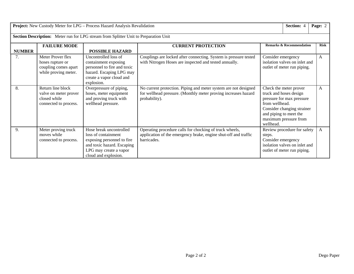| Project: New Custody Meter for LPG - Process Hazard Analysis Revalidation            |                                                                                       |                                                                                                                                                              |                                                                                                                                                    |                                                                                                                                                                                               | Section: 4                                                                                  | Page: 2      |  |
|--------------------------------------------------------------------------------------|---------------------------------------------------------------------------------------|--------------------------------------------------------------------------------------------------------------------------------------------------------------|----------------------------------------------------------------------------------------------------------------------------------------------------|-----------------------------------------------------------------------------------------------------------------------------------------------------------------------------------------------|---------------------------------------------------------------------------------------------|--------------|--|
| Section Description: Meter run for LPG stream from Splitter Unit to Preparation Unit |                                                                                       |                                                                                                                                                              |                                                                                                                                                    |                                                                                                                                                                                               |                                                                                             |              |  |
| <b>NUMBER</b>                                                                        | <b>FAILURE MODE</b>                                                                   | <b>POSSIBLE HAZARD</b>                                                                                                                                       | <b>CURRENT PROTECTION</b>                                                                                                                          | <b>Remarks &amp; Recommendation</b>                                                                                                                                                           | <b>Risk</b>                                                                                 |              |  |
| 7.                                                                                   | Meter Prover flex<br>hoses rupture or<br>coupling comes apart<br>while proving meter. | Uncontrolled loss of<br>containment exposing<br>personnel to fire and toxic<br>hazard. Escaping LPG may<br>create a vapor cloud and<br>explosion.            | Couplings are locked after connecting. System is pressure tested<br>with Nitrogen Hoses are inspected and tested annually.                         | Consider emergency<br>isolation valves on inlet and<br>outlet of meter run piping.                                                                                                            | A                                                                                           |              |  |
| 8.                                                                                   | Return line block<br>valve on meter prover<br>closed while<br>connected to process.   | Overpressure of piping,<br>hoses, meter equipment<br>and proving truck with<br>wellhead pressure.                                                            | No current protection. Piping and meter system are not designed<br>for wellhead pressure. (Monthly meter proving increases hazard<br>probability). | Check the meter prover<br>truck and hoses design<br>pressure for max pressure<br>from wellhead.<br>Consider changing strainer<br>and piping to meet the<br>maximum pressure from<br>wellhead. | A                                                                                           |              |  |
| 9.                                                                                   | Meter proving truck<br>moves while<br>connected to process.                           | Hose break uncontrolled<br>loss of containment<br>exposing personnel to fire<br>and toxic hazard. Escaping<br>LPG may create a vapor<br>cloud and explosion. | Operating procedure calls for chocking of truck wheels,<br>application of the emergency brake, engine shut-off and traffic<br>barricades.          | steps.<br>Consider emergency                                                                                                                                                                  | Review procedure for safety<br>isolation valves on inlet and<br>outlet of meter run piping. | $\mathbf{A}$ |  |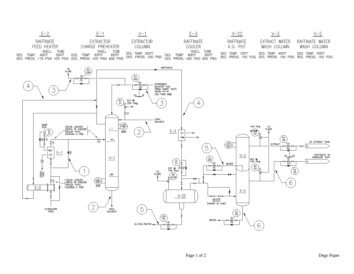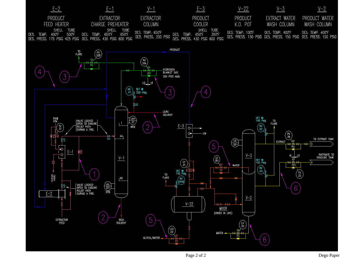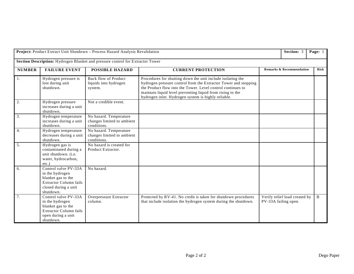| Project: Product Extract Unit Shutdown - Process Hazard Analysis Revalidation  |                                                                                                                                     |                                                                     |                                                                                                                                                                                                                                                                                                                    |                                     | Section: 3                    | Page: 1     |  |  |
|--------------------------------------------------------------------------------|-------------------------------------------------------------------------------------------------------------------------------------|---------------------------------------------------------------------|--------------------------------------------------------------------------------------------------------------------------------------------------------------------------------------------------------------------------------------------------------------------------------------------------------------------|-------------------------------------|-------------------------------|-------------|--|--|
| Section Description: Hydrogen Blanket and pressure control for Extractor Tower |                                                                                                                                     |                                                                     |                                                                                                                                                                                                                                                                                                                    |                                     |                               |             |  |  |
| <b>NUMBER</b>                                                                  | <b>FAILURE EVENT</b>                                                                                                                | <b>POSSIBLE HAZARD</b>                                              | <b>CURRENT PROTECTION</b>                                                                                                                                                                                                                                                                                          | <b>Remarks &amp; Recommendation</b> |                               | <b>Risk</b> |  |  |
| 1.                                                                             | Hydrogen pressure is<br>lost during unit<br>shutdown.                                                                               | <b>Back flow of Product</b><br>liquids into hydrogen<br>system.     | Procedures for shutting down the unit include isolating the<br>hydrogen pressure control from the Extractor Tower and stopping<br>the Product flow into the Tower. Level control continues to<br>maintain liquid level preventing liquid from rising to the<br>hydrogen inlet. Hydrogen system is highly reliable. |                                     |                               |             |  |  |
| 2.                                                                             | Hydrogen pressure<br>increases during a unit<br>shutdown.                                                                           | Not a credible event.                                               |                                                                                                                                                                                                                                                                                                                    |                                     |                               |             |  |  |
| 3.                                                                             | Hydrogen temperature<br>increases during a unit<br>shutdown.                                                                        | No hazard. Temperature<br>changes limited to ambient<br>conditions. |                                                                                                                                                                                                                                                                                                                    |                                     |                               |             |  |  |
| 4.                                                                             | Hydrogen temperature<br>decreases during a unit<br>shutdown.                                                                        | No hazard. Temperature<br>changes limited to ambient<br>conditions. |                                                                                                                                                                                                                                                                                                                    |                                     |                               |             |  |  |
| 5.                                                                             | Hydrogen gas is<br>contaminated during a<br>unit shutdown. (i.e.<br>water, hydrocarbon,<br>$etc.$ )                                 | No hazard is created for<br>Product Extractor.                      |                                                                                                                                                                                                                                                                                                                    |                                     |                               |             |  |  |
| 6.                                                                             | Control valve PV-33A<br>in the hydrogen<br>blanket gas to the<br><b>Extractor Column fails</b><br>closed during a unit<br>shutdown. | No hazard.                                                          |                                                                                                                                                                                                                                                                                                                    |                                     |                               |             |  |  |
| 7 <sub>1</sub>                                                                 | Control valve PV-33A<br>in the hydrogen<br>blanket gas to the<br>Extractor Column fails<br>open during a unit<br>shutdown.          | Overpressure Extractor<br>column.                                   | Protected by RV-41. No credit is taken for shutdown procedures<br>that include isolation the hydrogen system during the shutdown.                                                                                                                                                                                  | PV-33A failing open.                | Verify relief load created by | $\bf{B}$    |  |  |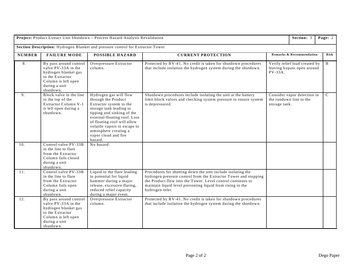| Project: Product Extract Unit Shutdown - Process Hazard Analysis Revalidation  |                                                                                                                                                |                                                                                                                                                                                                                                                                                              |                                                                                                                                                                                                                                                                                |                                                                           |  | Page: 2 |               |  |
|--------------------------------------------------------------------------------|------------------------------------------------------------------------------------------------------------------------------------------------|----------------------------------------------------------------------------------------------------------------------------------------------------------------------------------------------------------------------------------------------------------------------------------------------|--------------------------------------------------------------------------------------------------------------------------------------------------------------------------------------------------------------------------------------------------------------------------------|---------------------------------------------------------------------------|--|---------|---------------|--|
| Section Description: Hydrogen Blanket and pressure control for Extractor Tower |                                                                                                                                                |                                                                                                                                                                                                                                                                                              |                                                                                                                                                                                                                                                                                |                                                                           |  |         |               |  |
| <b>NUMBER</b>                                                                  | <b>FAILURE MODE</b>                                                                                                                            | <b>POSSIBLE HAZARD</b>                                                                                                                                                                                                                                                                       | <b>CURRENT PROTECTION</b>                                                                                                                                                                                                                                                      | <b>Remarks &amp; Recommendation</b>                                       |  |         | Risk          |  |
| 8.                                                                             | By pass around control<br>valve PV-33A in the<br>hydrogen blanket gas<br>to the Extractor<br>Column is left open<br>during a unit<br>shutdown. | Overpressure Extractor<br>column.                                                                                                                                                                                                                                                            | Protected by RV-41. No credit is taken for shutdown procedures<br>that include isolation the hydrogen system during the shutdown.                                                                                                                                              | Verify relief load created by<br>leaving bypass open around<br>$PV-33A$ . |  |         | B             |  |
| 9.                                                                             | Block valve in the line<br>to the top of the<br>Extractor Column V-1<br>is left open during a<br>shutdown.                                     | Hydrogen gas will flow<br>through the Product<br>Extractor system to the<br>storage tank leading to<br>tipping and sinking of the<br>external-floating roof. Loss<br>of floating roof will allow<br>volatile vapors to escape to<br>atmosphere creating a<br>vapor cloud and fire<br>hazard. | Shutdown procedures include isolating the unit at the battery<br>limit block valves and checking system pressure to ensure system<br>is depressured.                                                                                                                           | Consider vapor detection in<br>the rundown line to the<br>storage tank.   |  |         | $\mathcal{C}$ |  |
| 10.                                                                            | Control valve PV-33B<br>in the line to flare<br>from the Extractor<br>Column fails closed<br>during a unit<br>shutdown.                        | No hazard.                                                                                                                                                                                                                                                                                   |                                                                                                                                                                                                                                                                                |                                                                           |  |         |               |  |
| 11.                                                                            | Control valve PV-33B<br>in the line to flare<br>from the Extractor<br>Column fails open<br>during a unit<br>shutdown.                          | Liquid to the flare leading<br>to potential for liquid<br>hammer during a major<br>release, excessive flaring,<br>reduced relief capacity<br>during a major event.                                                                                                                           | Procedures for shutting down the unit include isolating the<br>hydrogen pressure control from the Extractor Tower and stopping<br>the Product flow into the Tower. Level control continues to<br>maintain liquid level preventing liquid from rising to the<br>hydrogen inlet. |                                                                           |  |         |               |  |
| 12.                                                                            | By pass around control<br>valve PV-33A in the<br>hydrogen blanket gas<br>to the Extractor<br>Column is left open<br>during a unit<br>shutdown. | Overpressure Extractor<br>column.                                                                                                                                                                                                                                                            | Protected by RV-41. No credit is taken for shutdown procedures<br>that include isolation the hydrogen system during the shutdown.                                                                                                                                              |                                                                           |  |         |               |  |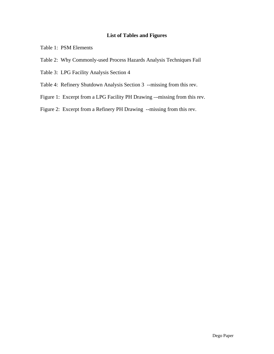# **List of Tables and Figures**

- Table 1: PSM Elements
- Table 2: Why Commonly-used Process Hazards Analysis Techniques Fail
- Table 3: LPG Facility Analysis Section 4
- Table 4: Refinery Shutdown Analysis Section 3 --missing from this rev.
- Figure 1: Excerpt from a LPG Facility PH Drawing –-missing from this rev.
- Figure 2: Excerpt from a Refinery PH Drawing --missing from this rev.